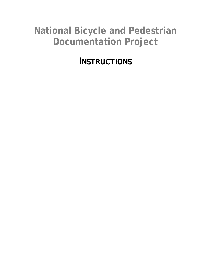# **National Bicycle and Pedestrian Documentation Project**

# **INSTRUCTIONS**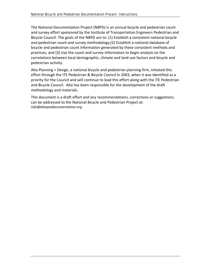The National Documentation Project (NBPD) is an annual bicycle and pedestrian count and survey effort sponsored by the Institute of Transportation Engineers Pedestrian and Bicycle Council. The goals of the NBPD are to: (1) Establish a consistent national bicycle and pedestrian count and survey methodology;(2) Establish a national database of bicycle and pedestrian count information generated by these consistent methods and practices; and (3) Use the count and survey information to begin analysis on the correlations between local demographic, climate and land‐use factors and bicycle and pedestrian activity.

Alta Planning + Design, a national bicycle and pedestrian planning firm, initiated this effort through the ITE Pedestrian & Bicycle Council in 2003, when it was identified as a priority for the Council and will continue to lead this effort along with the ITE Pedestrian and Bicycle Council. Alta has been responsible for the development of the draft methodology and materials.

This document is a draft effort and any recommendations, corrections or suggestions can be addressed to the National Bicycle and Pedestrian Project at: *info@bikepeddocumentation.org*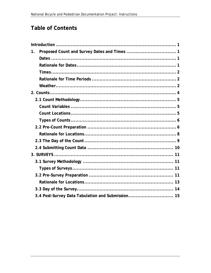## **Table of Contents**

| 1.                                                |  |
|---------------------------------------------------|--|
|                                                   |  |
|                                                   |  |
|                                                   |  |
|                                                   |  |
|                                                   |  |
|                                                   |  |
|                                                   |  |
|                                                   |  |
|                                                   |  |
|                                                   |  |
|                                                   |  |
|                                                   |  |
|                                                   |  |
|                                                   |  |
|                                                   |  |
|                                                   |  |
|                                                   |  |
|                                                   |  |
|                                                   |  |
|                                                   |  |
| 3.4 Post-Survey Data Tabulation and Submission 15 |  |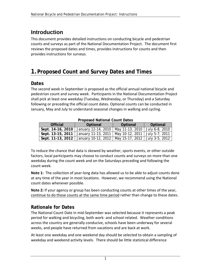## **Introduction**

This document provides detailed instructions on conducting bicycle and pedestrian counts and surveys as part of the National Documentation Project. The document first reviews the proposed dates and times, provides instructions for counts and then provides instructions for surveys.

## **1.Proposed Count and Survey Dates and Times**

#### **Dates**

The second week in September is proposed as the official annual national bicycle and pedestrian count and survey week. Participants in the National Documentation Project shall pick at least one weekday (Tuesday, Wednesday, or Thursday) and a Saturday following or preceding the official count dates. Optional counts can be conducted in January, May and July to understand seasonal changes in walking and cycling.

| <b>Official</b> | Optional                                                                   | Optional | Optional |
|-----------------|----------------------------------------------------------------------------|----------|----------|
|                 | Sept. 14-16, 2010   January 12-14, 2010   May 11-13, 2010   July 6-8, 2010 |          |          |
|                 | Sept. 13-15, 2011   January 11-13, 2011   May 10-12, 2011   July 5-7, 2011 |          |          |
|                 | Sept. 11-13, 2012   January 10-12, 2012   May 15-17, 2012   July 3-5, 2012 |          |          |

**Proposed National Count Dates** 

To reduce the chance that data is skewed by weather, sports events, or other outside factors, local participants may choose to conduct counts and surveys on more than one weekday during the count week and on the Saturdays preceding and following the count week.

**Note 1:** The collection of year-long data has allowed us to be able to adjust counts done at any time of the year in most locations. However, we recommend using the National count dates whenever possible.

**Note 2:** If your agency or group has been conducting counts at other times of the year, continue to do those counts at the same time period rather than change to these dates.

## **Rationale for Dates**

The National Count Date in mid‐September was selected because it represents a peak period for walking and bicycling, both work‐ and school‐related. Weather conditions across the country are generally conducive, schools have been underway for several weeks, and people have returned from vacations and are back at work.

At least one weekday and one weekend day should be selected to obtain a sampling of weekday and weekend activity levels. There should be little statistical difference

1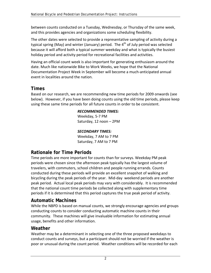between counts conducted on a Tuesday, Wednesday, or Thursday of the same week, and this provides agencies and organizations some scheduling flexibility.

The other dates were selected to provide a representative sampling of activity during a typical spring (May) and winter (January) period. The  $4<sup>th</sup>$  of July period was selected because it will afford both a typical summer weekday and what is typically the busiest holiday period and activity period for recreational facilities and activities.

Having an official count week is also important for generating enthusiasm around the date. Much like nationwide Bike to Work Weeks, we hope that the National Documentation Project Week in September will become a much‐anticipated annual event in localities around the nation.

### **Times**

Based on our research, we are recommending new time periods for 2009 onwards (see below). However, if you have been doing counts using the old time periods, please keep using these same time periods for all future counts in order to be consistent.

#### *RECOMMENDED TIMES:*

Weekday, 5‐7 PM Saturday, 12 noon – 2PM

#### *SECONDARY TIMES:*

Weekday, 7 AM to 7 PM Saturday, 7 AM to 7 PM

## **Rationale for Time Periods**

Time periods are more important for counts than for surveys. Weekday PM peak periods were chosen since the afternoon peak typically has the largest volume of travelers, with commuters, school children and people running errands. Counts conducted during these periods will provide an excellent snapshot of walking and bicycling during the peak periods of the year. Mid‐day weekend periods are another peak period. Actual local peak periods may vary with considerably. It is recommended that the national count time periods be collected along with supplementary time periods if it is determined that this period captures the true peak period of activity.

## **Automatic Machines**

While the NBPD is based on manual counts, we strongly encourage agencies and groups conducting counts to consider conducting automatic machine counts in their community. These machines will give invaluable information for estimating annual usage, benefits and other information.

#### **Weather**

Weather may be a determinant in selecting one of the three proposed weekdays to conduct counts and surveys, but a participant should not be worried if the weather is poor or unusual during the count period. Weather conditions will be recorded for each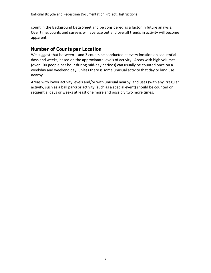count in the Background Data Sheet and be considered as a factor in future analysis. Over time, counts and surveys will average out and overall trends in activity will become apparent.

#### **Number of Counts per Location**

We suggest that between 1 and 3 counts be conducted at every location on sequential days and weeks, based on the approximate levels of activity. Areas with high volumes (over 100 people per hour during mid‐day periods) can usually be counted once on a weekday and weekend day, unless there is some unusual activity that day or land use nearby.

Areas with lower activity levels and/or with unusual nearby land uses (with any irregular activity, such as a ball park) or activity (such as a special event) should be counted on sequential days or weeks at least one more and possibly two more times.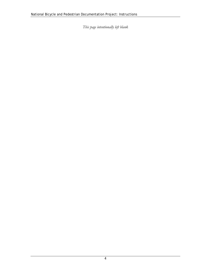*This page intentionally left blank*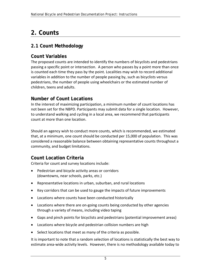## **2. Counts**

## **2.1 Count Methodology**

### **Count Variables**

The proposed counts are intended to identify the numbers of bicyclists and pedestrians passing a specific point or intersection. A person who passes by a point more than once is counted each time they pass by the point. Localities may wish to record additional variables in addition to the number of people passing by, such as bicyclists versus pedestrians, the number of people using wheelchairs or the estimated number of children, teens and adults.

## **Number of Count Locations**

In the interest of maximizing participation, a minimum number of count locations has not been set for the NBPD. Participants may submit data for a single location. However, to understand walking and cycling in a local area, we recommend that participants count at more than one location.

Should an agency wish to conduct more counts, which is recommended, we estimated that, at a minimum, one count should be conducted per 15,000 of population. This was considered a reasonable balance between obtaining representative counts throughout a community, and budget limitations.

## **Count Location Criteria**

Criteria for count and survey locations include:

- Pedestrian and bicycle activity areas or corridors (downtowns, near schools, parks, etc.)
- Representative locations in urban, suburban, and rural locations
- Key corridors that can be used to gauge the impacts of future improvements
- Locations where counts have been conducted historically
- Locations where there are on-going counts being conducted by other agencies through a variety of means, including video taping
- Gaps and pinch points for bicyclists and pedestrians (potential improvement areas)
- Locations where bicycle and pedestrian collision numbers are high
- Select locations that meet as many of the criteria as possible.

It is important to note that a random selection of locations is statistically the best way to estimate area-wide activity levels. However, there is no methodology available today to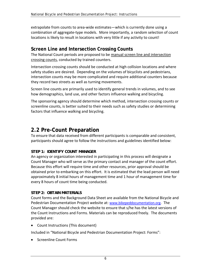extrapolate from counts to area-wide estimates—which is currently done using a combination of aggregate‐type models. More importantly, a random selection of count locations is likely to result in locations with very little if any activity to count!

#### **Screen Line and Intersection Crossing Counts**

The National Count periods are proposed to be manual screen line and intersection crossing counts, conducted by trained counters.

Intersection crossing counts should be conducted at high collision locations and where safety studies are desired. Depending on the volumes of bicyclists and pedestrians, intersection counts may be more complicated and require additional counters because they record two streets as well as turning movements.

Screen line counts are primarily used to identify general trends in volumes, and to see how demographics, land use, and other factors influence walking and bicycling.

The sponsoring agency should determine which method, intersection crossing counts or screenline counts, is better suited to their needs such as safety studies or determining factors that influence walking and bicycling.

## **2.2 Pre-Count Preparation**

To ensure that data received from different participants is comparable and consistent, participants should agree to follow the instructions and guidelines identified below:

#### *STEP 1:**IDENTIFY COUNT MANAGER*

An agency or organization interested in participating in this process will designate a Count Manager who will serve as the primary contact and manager of the count effort. Because this effort will require time and other resources, prior approval should be obtained prior to embarking on this effort. It is estimated that the lead person will need approximately 8 initial hours of management time and 1 hour of management time for every 8 hours of count time being conducted.

#### *STEP 2: OBTAIN MATERIALS*

Count forms and the Background Data Sheet are available from the National Bicycle and Pedestrian Documentation Project website at: www.bikepeddocumentation.org. The Count Manager should check the website to ensure that s/he has the latest versions of the Count Instructions and Forms. Materials can be reproduced freely. The documents provided are:

Count Instructions (This document)

Included in "National Bicycle and Pedestrian Documentation Project: Forms":

• Screenline Count Forms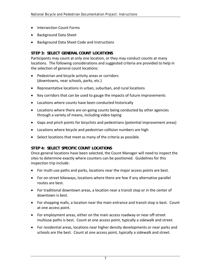- Intersection Count Forms
- Background Data Sheet
- Background Data Sheet Code and Instructions

#### *STEP 3: SELECT GENERAL COUNT LOCATIONS*

Participants may count at only one location, or they may conduct counts at many locations. The following considerations and suggested criteria are provided to help in the selection of general count locations:

- Pedestrian and bicycle activity areas or corridors (downtowns, near schools, parks, etc.)
- Representative locations in urban, suburban, and rural locations
- Key corridors that can be used to gauge the impacts of future improvements
- Locations where counts have been conducted historically
- Locations where there are on-going counts being conducted by other agencies through a variety of means, including video taping
- Gaps and pinch points for bicyclists and pedestrians (potential improvement areas)
- Locations where bicycle and pedestrian collision numbers are high
- Select locations that meet as many of the criteria as possible.

#### *STEP 4: SELECT SPECIFIC COUNT LOCATIONS*

Once general locations have been selected, the Count Manager will need to inspect the sites to determine exactly where counters can be positioned. Guidelines for this inspection trip include:

- For multi-use paths and parks, locations near the major access points are best.
- For on-street bikeways, locations where there are few if any alternative parallel routes are best.
- For traditional downtown areas, a location near a transit stop or in the center of downtown is best.
- For shopping malls, a location near the main entrance and transit stop is best. Count at one access point.
- For employment areas, either on the main access roadway or near off‐street multiuse paths is best. Count at one access point, typically a sidewalk and street.
- For residential areas, locations near higher density developments or near parks and schools are the best. Count at one access point, typically a sidewalk and street.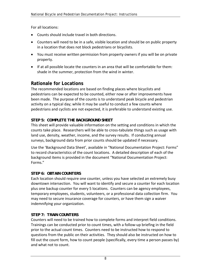For all locations:

- Counts should include travel in both directions.
- Counters will need to be in a safe, visible location and should be on public property in a location that does not block pedestrians or bicyclists.
- You must receive written permission from property owners if you will be on private property.
- If at all possible locate the counters in an area that will be comfortable for them: shade in the summer, protection from the wind in winter.

## **Rationale for Locations**

The recommended locations are based on finding places where bicyclists and pedestrians can be expected to be counted, either now or after improvements have been made. The purpose of the counts is to understand peak bicycle and pedestrian activity on a typical day; while it may be useful to conduct a few counts where pedestrians and cyclists are not expected, it is preferable to understand existing use.

#### *STEP 5: COMPLETE THE BACKGROUND SHEET*

This sheet will provide valuable information on the setting and conditions in which the counts take place. Researchers will be able to cross-tabulate things such as usage with land use, density, weather, income, and the survey results. If conducting annual surveys, background data from prior counts should be updated if necessary.

Use the 'Background Data Sheet', available in "National Documentation Project: Forms" to record characteristics of the count locations. A detailed description of each of the background items is provided in the document "National Documentation Project: Forms."

#### *STEP 6: OBTAIN COUNTERS*

Each location should require one counter, unless you have selected an extremely busy downtown intersection. You will want to identify and secure a counter for each location plus one backup counter for every 5 locations. Counters can be agency employees, temporary employees, students, volunteers, or a professional data collection firm. You may need to secure insurance coverage for counters, or have them sign a waiver indemnifying your organization.

#### *STEP 7: TRAIN COUNTERS*

Counters will need to be trained how to complete forms and interpret field conditions. Trainings can be conducted prior to count times, with a follow‐up briefing in the field prior to the actual count times. Counters need to be instructed how to respond to questions from the public on their activities. They should also be instructed on how to fill out the count form, how to count people (specifically, every time a person passes by) and what not to count.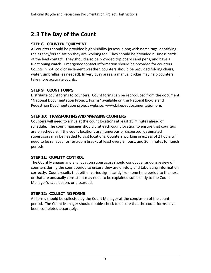## **2.3 The Day of the Count**

#### *STEP 8: COUNTER EQUIPMENT*

All counters should be provided high visibility jerseys, along with name tags identifying the agency/organization they are working for. They should be provided business cards of the lead contact. They should also be provided clip boards and pens, and have a functioning watch. Emergency contact information should be provided for counters. Counts in hot, cold or inclement weather, counters should be provided folding chairs, water, umbrellas (as needed). In very busy areas, a manual clicker may help counters take more accurate counts.

#### *STEP 9: COUNT FORMS*

Distribute count forms to counters. Count forms can be reproduced from the document "National Documentation Project: Forms" available on the National Bicycle and Pedestrian Documentation project website: www.bikepeddocumentation.org.

#### *STEP 10: TRANSPORTING AND MANAGING COUNTERS*

Counters will need to arrive at the count locations at least 15 minutes ahead of schedule. The count manager should visit each count location to ensure that counters are on schedule. If the count locations are numerous or dispersed, designated supervisors may be needed to visit locations. Counters working in excess of 2 hours will need to be relieved for restroom breaks at least every 2 hours, and 30 minutes for lunch periods.

#### *STEP 11: QUALITY CONTROL*

The Count Manager and any location supervisors should conduct a random review of counters during the count period to ensure they are on‐duty and tabulating information correctly. Count results that either varies significantly from one time period to the next or that are unusually consistent may need to be explained sufficiently to the Count Manager's satisfaction, or discarded.

#### *STEP 12: COLLECTING FORMS*

All forms should be collected by the Count Manager at the conclusion of the count period. The Count Manager should double‐check to ensure that the count forms have been completed accurately.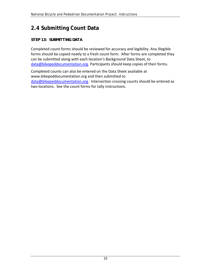## **2.4 Submitting Count Data**

#### *STEP 13: SUBMITTING DATA*

Completed count forms should be reviewed for accuracy and legibility. Any illegible forms should be copied neatly to a fresh count form. After forms are completed they can be submitted along with each location's Background Data Sheet, to data@bikepeddocumentation.org. Participants should keep copies of their forms.

Completed counts can also be entered on the Data Sheet available at www.bikepeddocumentation.org and then submitted to data@bikepeddocumentation.org. Intersection crossing counts should be entered as two locations. See the count forms for tally instructions.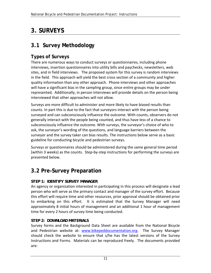## **3. SURVEYS**

## **3.1 Survey Methodology**

## **Types of Surveys**

There are numerous ways to conduct surveys or questionnaires, including phone interviews, insertion questionnaires into utility bills and paychecks, newsletters, web sites, and in field interviews. The proposed system for this survey is random interviews in the field. This approach will yield the best cross section of a community and higher quality information than any other approach. Phone interviews and other approaches will have a significant bias in the sampling group, since entire groups may be under represented. Additionally, in person interviews will provide details on the person being interviewed that other approaches will not allow.

Surveys are more difficult to administer and more likely to have biased results than counts. In part this is due to the fact that surveyors interact with the person being surveyed and can subconsciously influence the outcome. With counts, observers do not generally interact with the people being counted, and thus have less of a chance to subconsciously influence the outcome. With surveys, the surveyor's choice of who to ask, the surveyor's wording of the questions, and language barriers between the surveyor and the survey taker can bias results. The instructions below serve as a basic guideline for conducting bicycle and pedestrian surveys.

Surveys or questionnaires should be administered during the same general time period (within 3 weeks) as the counts. Step‐by‐step instructions for performing the surveys are presented below.

## **3.2 Pre-Survey Preparation**

#### *STEP 1: IDENTIFY SURVEY MANAGER*

An agency or organization interested in participating in this process will designate a lead person who will serve as the primary contact and manager of the survey effort. Because this effort will require time and other resources, prior approval should be obtained prior to embarking on this effort. It is estimated that the Survey Manager will need approximately 8 initial hours of management and an additional 1 hour of management time for every 2 hours of survey time being conducted.

#### *STEP 2: DOWNLOAD MATERIALS*

Survey forms and the Background Data Sheet are available from the National Bicycle and Pedestrian website at: www.bikepeddocumentation.org. The Survey Manager should check the website to ensure that s/he has the latest versions of the Survey Instructions and Forms. Materials can be reproduced freely. The documents provided are: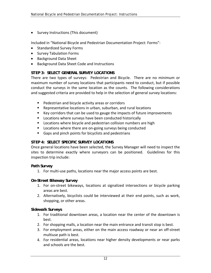• Survey Instructions (This document)

Included in "National Bicycle and Pedestrian Documentation Project: Forms":

- Standardized Survey Forms
- Survey Tabulation Forms
- Background Data Sheet
- Background Data Sheet Code and Instructions

#### *STEP 3: SELECT GENERAL SURVEY LOCATIONS*

There are two types of surveys: Pedestrian and Bicycle. There are no minimum or maximum number of survey locations that participants need to conduct, but if possible conduct the surveys in the same location as the counts. The following considerations and suggested criteria are provided to help in the selection of general survey locations:

- **Pedestrian and bicycle activity areas or corridors**
- Representative locations in urban, suburban, and rural locations
- Key corridors that can be used to gauge the impacts of future improvements
- **E** Locations where surveys have been conducted historically
- **EXTE:** Locations where bicycle and pedestrian collision numbers are high
- Locations where there are on-going surveys being conducted
- Gaps and pinch points for bicyclists and pedestrians

#### *STEP 4: SELECT SPECIFIC SURVEY LOCATIONS*

Once general locations have been selected, the Survey Manager will need to inspect the sites to determine exactly where surveyors can be positioned. Guidelines for this inspection trip include:

#### *Path Survey*

1. For multi‐use paths, locations near the major access points are best.

#### *On-Street Bikeway Survey*

- 1. For on‐street bikeways, locations at signalized intersections or bicycle parking areas are best.
- 2. Alternatively, bicyclists could be interviewed at their end points, such as work, shopping, or other areas.

#### *Sidewalk Surveys*

- 1. For traditional downtown areas, a location near the center of the downtown is best.
- 2. For shopping malls, a location near the main entrance and transit stop is best.
- 3. For employment areas, either on the main access roadway or near an off‐street multiuse path is best.
- 4. For residential areas, locations near higher density developments or near parks and schools are the best.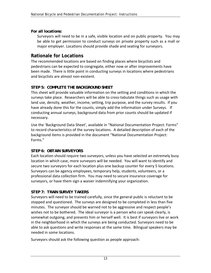#### *For all locations:*

Surveyors will need to be in a safe, visible location and on public property. You may be able to get permission to conduct surveys on private property such as a mall or major employer. Locations should provide shade and seating for surveyors.

#### **Rationale for Locations**

The recommended locations are based on finding places where bicyclists and pedestrians can be expected to congregate, either now or after improvements have been made. There is little point in conducting surveys in locations where pedestrians and bicyclists are almost non‐existent.

#### *STEP 5: COMPLETE THE BACKGROUND SHEET*

This sheet will provide valuable information on the setting and conditions in which the surveys take place. Researchers will be able to cross‐tabulate things such as usage with land use, density, weather, income, setting, trip purpose, and the survey results. If you have already done this for the counts, simply add the information under Surveys. If conducting annual surveys, background data from prior counts should be updated if necessary.

Use the 'Background Data Sheet', available in "National Documentation Project: Forms" to record characteristics of the survey locations. A detailed description of each of the background items is provided in the document "National Documentation Project: Forms."

#### *STEP 6: OBTAIN SURVEYORS*

Each location should require two surveyors, unless you have selected an extremely busy location in which case, more surveyors will be needed. You will want to identify and secure two surveyors for each location plus one backup counter for every 5 locations. Surveyors can be agency employees, temporary help, students, volunteers, or a professional data collection firm. You may need to secure insurance coverage for surveyors, or have them sign a waiver indemnifying your organization.

#### *STEP 7: TRAIN SURVEY TAKERS*

Surveyors will need to be trained carefully, since the general public is reluctant to be stopped and questioned. The surveys are designed to be completed in less than five minutes. The surveyor should be warned not to be aggressive and respect people's wishes not to be bothered. The ideal surveyor is a person who can speak clearly, is somewhat outgoing, and presents him or herself well. It is best if surveyors live or work in the neighborhood in which the surveys are being conducted. Surveyors need to be able to ask questions and write responses at the same time. Bilingual speakers may be needed in some locations.

Surveyors should ask the following question as people approach: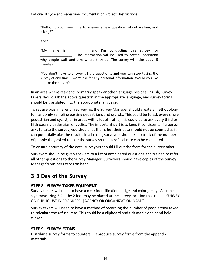"Hello, do you have time to answer a few questions about walking and biking?"

If yes:

"My name is The and I'm conducting this survey for \_\_\_\_\_\_\_\_\_\_\_\_\_\_\_\_\_. The information will be used to better understand why people walk and bike where they do. The survey will take about 5 minutes.

"You don't have to answer all the questions, and you can stop taking the survey at any time. I won't ask for any personal information. Would you like to take the survey?

In an area where residents primarily speak another language besides English, survey takers should ask the above question in the appropriate language, and survey forms should be translated into the appropriate language.

To reduce bias inherent in surveying, the Survey Manager should create a methodology for randomly sampling passing pedestrians and cyclists. This could be to ask every single pedestrian and cyclist, or in areas with a lot of traffic, this could be to ask every third or fifth passing pedestrian or cyclist. The important part is to keep it consistent. If a person asks to take the survey, you should let them, but their data should not be counted as it can potentially bias the results. In all cases, surveyors should keep track of the number of people they asked to take the survey so that a refusal rate can be calculated.

To ensure accuracy of the data, surveyors should fill out the form for the survey taker.

Surveyors should be given answers to a list of anticipated questions and trained to refer all other questions to the Survey Manager. Surveyors should have copies of the Survey Manager's business cards on hand.

## **3.3 Day of the Survey**

#### *STEP 8: SURVEY TAKER EQUIPMENT*

Survey takers will need to have a clear identification badge and color jersey. A simple sign measuring 2 feet by 2 feet may be placed at the survey location that reads: SURVEY ON PUBLIC USE IN PROGRESS: [AGENCY OR ORGANIZATION NAME].

Survey takers will need to have a method of recording the number of people they asked to calculate the refusal rate. This could be a clipboard and tick marks or a hand held clicker.

#### *STEP 9: SURVEY FORMS*

Distribute survey forms to counters. Reproduce survey forms from the appendix materials.